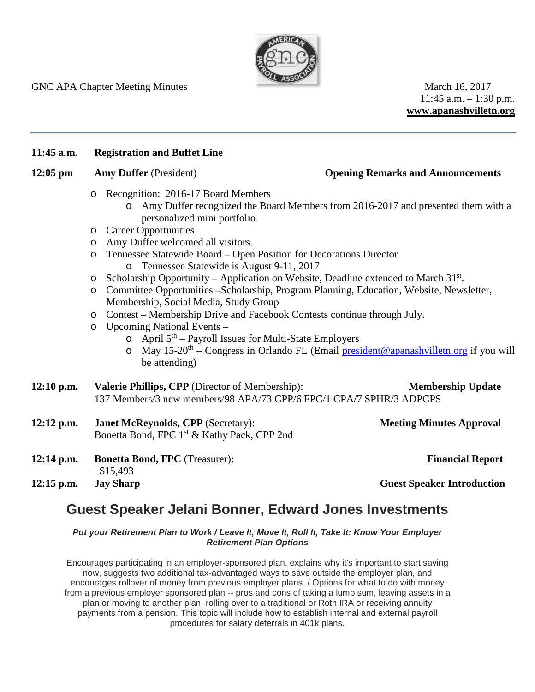

GNC APA Chapter Meeting Minutes March 16, 2017

 $11:45$  a.m.  $-1:30$  p.m. **www.apanashvilletn.org**

## **11:45 a.m. Registration and Buffet Line**

## **12:05 pm Amy Duffer** (President) **Opening Remarks and Announcements**

- o Recognition: 2016-17 Board Members
	- o Amy Duffer recognized the Board Members from 2016-2017 and presented them with a personalized mini portfolio.
- o Career Opportunities
- o Amy Duffer welcomed all visitors.
- o Tennessee Statewide Board Open Position for Decorations Director
	- o Tennessee Statewide is August 9-11, 2017
- $\circ$  Scholarship Opportunity Application on Website, Deadline extended to March 31<sup>st</sup>.
- o Committee Opportunities –Scholarship, Program Planning, Education, Website, Newsletter, Membership, Social Media, Study Group
- o Contest Membership Drive and Facebook Contests continue through July.
- o Upcoming National Events
	- $\circ$  April  $5<sup>th</sup>$  Payroll Issues for Multi-State Employers
	- o May 15-20<sup>th</sup> Congress in Orlando FL (Email [president@apanashvilletn.org](mailto:president@apanashvilletn.org) if you will be attending)
- **12:10 p.m. Valerie Phillips, CPP** (Director of Membership): **Membership Update** 137 Members/3 new members/98 APA/73 CPP/6 FPC/1 CPA/7 SPHR/3 ADPCPS
- **12:12 p.m. Janet McReynolds, CPP** (Secretary): **Meeting Minutes Approval** Bonetta Bond, FPC 1<sup>st</sup> & Kathy Pack, CPP 2nd
- **12:14 p.m. Bonetta Bond, FPC** (Treasurer): **Financial Report** \$15,493

**12:15 p.m. Jay Sharp Guest Speaker Introduction**

# **Guest Speaker Jelani Bonner, Edward Jones Investments**

*Put your Retirement Plan to Work / Leave It, Move It, Roll It, Take It: Know Your Employer Retirement Plan Options*

Encourages participating in an employer-sponsored plan, explains why it's important to start saving now, suggests two additional tax-advantaged ways to save outside the employer plan, and encourages rollover of money from previous employer plans. / Options for what to do with money from a previous employer sponsored plan -- pros and cons of taking a lump sum, leaving assets in a plan or moving to another plan, rolling over to a traditional or Roth IRA or receiving annuity payments from a pension. This topic will include how to establish internal and external payroll procedures for salary deferrals in 401k plans.